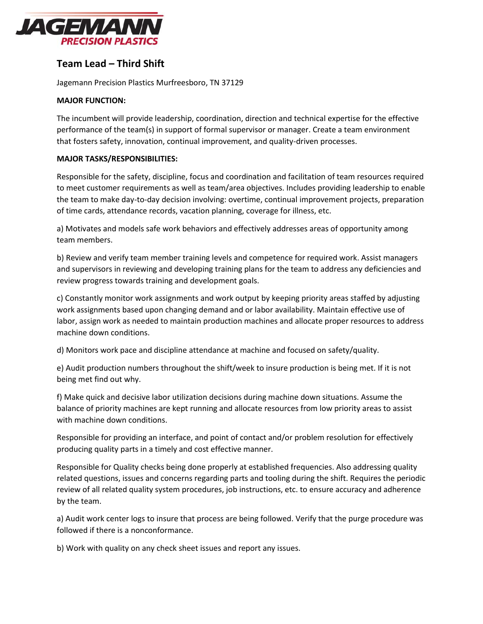

## **Team Lead – Third Shift**

Jagemann Precision Plastics Murfreesboro, TN 37129

## **MAJOR FUNCTION:**

The incumbent will provide leadership, coordination, direction and technical expertise for the effective performance of the team(s) in support of formal supervisor or manager. Create a team environment that fosters safety, innovation, continual improvement, and quality-driven processes.

## **MAJOR TASKS/RESPONSIBILITIES:**

Responsible for the safety, discipline, focus and coordination and facilitation of team resources required to meet customer requirements as well as team/area objectives. Includes providing leadership to enable the team to make day-to-day decision involving: overtime, continual improvement projects, preparation of time cards, attendance records, vacation planning, coverage for illness, etc.

a) Motivates and models safe work behaviors and effectively addresses areas of opportunity among team members.

b) Review and verify team member training levels and competence for required work. Assist managers and supervisors in reviewing and developing training plans for the team to address any deficiencies and review progress towards training and development goals.

c) Constantly monitor work assignments and work output by keeping priority areas staffed by adjusting work assignments based upon changing demand and or labor availability. Maintain effective use of labor, assign work as needed to maintain production machines and allocate proper resources to address machine down conditions.

d) Monitors work pace and discipline attendance at machine and focused on safety/quality.

e) Audit production numbers throughout the shift/week to insure production is being met. If it is not being met find out why.

f) Make quick and decisive labor utilization decisions during machine down situations. Assume the balance of priority machines are kept running and allocate resources from low priority areas to assist with machine down conditions.

Responsible for providing an interface, and point of contact and/or problem resolution for effectively producing quality parts in a timely and cost effective manner.

Responsible for Quality checks being done properly at established frequencies. Also addressing quality related questions, issues and concerns regarding parts and tooling during the shift. Requires the periodic review of all related quality system procedures, job instructions, etc. to ensure accuracy and adherence by the team.

a) Audit work center logs to insure that process are being followed. Verify that the purge procedure was followed if there is a nonconformance.

b) Work with quality on any check sheet issues and report any issues.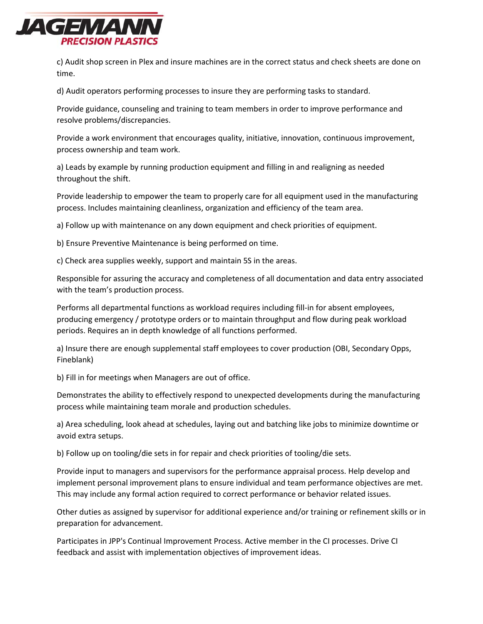

c) Audit shop screen in Plex and insure machines are in the correct status and check sheets are done on time.

d) Audit operators performing processes to insure they are performing tasks to standard.

Provide guidance, counseling and training to team members in order to improve performance and resolve problems/discrepancies.

Provide a work environment that encourages quality, initiative, innovation, continuous improvement, process ownership and team work.

a) Leads by example by running production equipment and filling in and realigning as needed throughout the shift.

Provide leadership to empower the team to properly care for all equipment used in the manufacturing process. Includes maintaining cleanliness, organization and efficiency of the team area.

a) Follow up with maintenance on any down equipment and check priorities of equipment.

b) Ensure Preventive Maintenance is being performed on time.

c) Check area supplies weekly, support and maintain 5S in the areas.

Responsible for assuring the accuracy and completeness of all documentation and data entry associated with the team's production process.

Performs all departmental functions as workload requires including fill-in for absent employees, producing emergency / prototype orders or to maintain throughput and flow during peak workload periods. Requires an in depth knowledge of all functions performed.

a) Insure there are enough supplemental staff employees to cover production (OBI, Secondary Opps, Fineblank)

b) Fill in for meetings when Managers are out of office.

Demonstrates the ability to effectively respond to unexpected developments during the manufacturing process while maintaining team morale and production schedules.

a) Area scheduling, look ahead at schedules, laying out and batching like jobs to minimize downtime or avoid extra setups.

b) Follow up on tooling/die sets in for repair and check priorities of tooling/die sets.

Provide input to managers and supervisors for the performance appraisal process. Help develop and implement personal improvement plans to ensure individual and team performance objectives are met. This may include any formal action required to correct performance or behavior related issues.

Other duties as assigned by supervisor for additional experience and/or training or refinement skills or in preparation for advancement.

Participates in JPP's Continual Improvement Process. Active member in the CI processes. Drive CI feedback and assist with implementation objectives of improvement ideas.